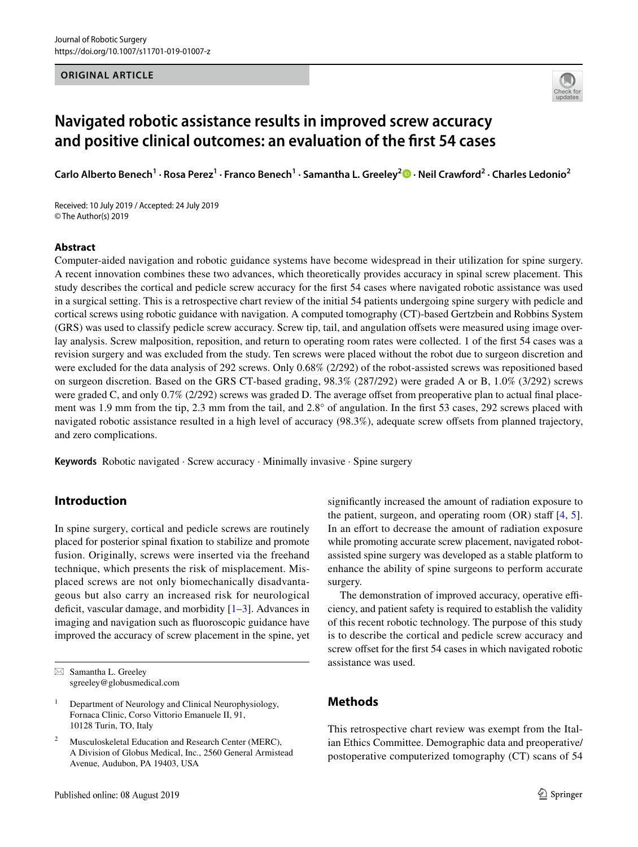#### **ORIGINAL ARTICLE**



# **Navigated robotic assistance results in improved screw accuracy and positive clinical outcomes: an evaluation of the frst 54 cases**

**Carlo Alberto Benech1 · Rosa Perez1 · Franco Benech1 · Samantha L. Greeley<sup>2</sup> · Neil Crawford<sup>2</sup> · Charles Ledonio2**

Received: 10 July 2019 / Accepted: 24 July 2019 © The Author(s) 2019

#### **Abstract**

Computer-aided navigation and robotic guidance systems have become widespread in their utilization for spine surgery. A recent innovation combines these two advances, which theoretically provides accuracy in spinal screw placement. This study describes the cortical and pedicle screw accuracy for the frst 54 cases where navigated robotic assistance was used in a surgical setting. This is a retrospective chart review of the initial 54 patients undergoing spine surgery with pedicle and cortical screws using robotic guidance with navigation. A computed tomography (CT)-based Gertzbein and Robbins System (GRS) was used to classify pedicle screw accuracy. Screw tip, tail, and angulation ofsets were measured using image overlay analysis. Screw malposition, reposition, and return to operating room rates were collected. 1 of the frst 54 cases was a revision surgery and was excluded from the study. Ten screws were placed without the robot due to surgeon discretion and were excluded for the data analysis of 292 screws. Only 0.68% (2/292) of the robot-assisted screws was repositioned based on surgeon discretion. Based on the GRS CT-based grading, 98.3% (287/292) were graded A or B, 1.0% (3/292) screws were graded C, and only 0.7% (2/292) screws was graded D. The average offset from preoperative plan to actual final placement was 1.9 mm from the tip, 2.3 mm from the tail, and 2.8° of angulation. In the frst 53 cases, 292 screws placed with navigated robotic assistance resulted in a high level of accuracy (98.3%), adequate screw ofsets from planned trajectory, and zero complications.

**Keywords** Robotic navigated · Screw accuracy · Minimally invasive · Spine surgery

# **Introduction**

In spine surgery, cortical and pedicle screws are routinely placed for posterior spinal fxation to stabilize and promote fusion. Originally, screws were inserted via the freehand technique, which presents the risk of misplacement. Misplaced screws are not only biomechanically disadvantageous but also carry an increased risk for neurological deficit, vascular damage, and morbidity  $[1-3]$  $[1-3]$  $[1-3]$ . Advances in imaging and navigation such as fuoroscopic guidance have improved the accuracy of screw placement in the spine, yet signifcantly increased the amount of radiation exposure to the patient, surgeon, and operating room  $(OR)$  staff  $[4, 5]$  $[4, 5]$  $[4, 5]$  $[4, 5]$  $[4, 5]$ . In an effort to decrease the amount of radiation exposure while promoting accurate screw placement, navigated robotassisted spine surgery was developed as a stable platform to enhance the ability of spine surgeons to perform accurate surgery.

The demonstration of improved accuracy, operative efficiency, and patient safety is required to establish the validity of this recent robotic technology. The purpose of this study is to describe the cortical and pedicle screw accuracy and screw offset for the first 54 cases in which navigated robotic assistance was used.

# **Methods**

This retrospective chart review was exempt from the Italian Ethics Committee. Demographic data and preoperative/ postoperative computerized tomography (CT) scans of 54

 $\boxtimes$  Samantha L. Greeley sgreeley@globusmedical.com

<sup>&</sup>lt;sup>1</sup> Department of Neurology and Clinical Neurophysiology, Fornaca Clinic, Corso Vittorio Emanuele II, 91, 10128 Turin, TO, Italy

Musculoskeletal Education and Research Center (MERC), A Division of Globus Medical, Inc., 2560 General Armistead Avenue, Audubon, PA 19403, USA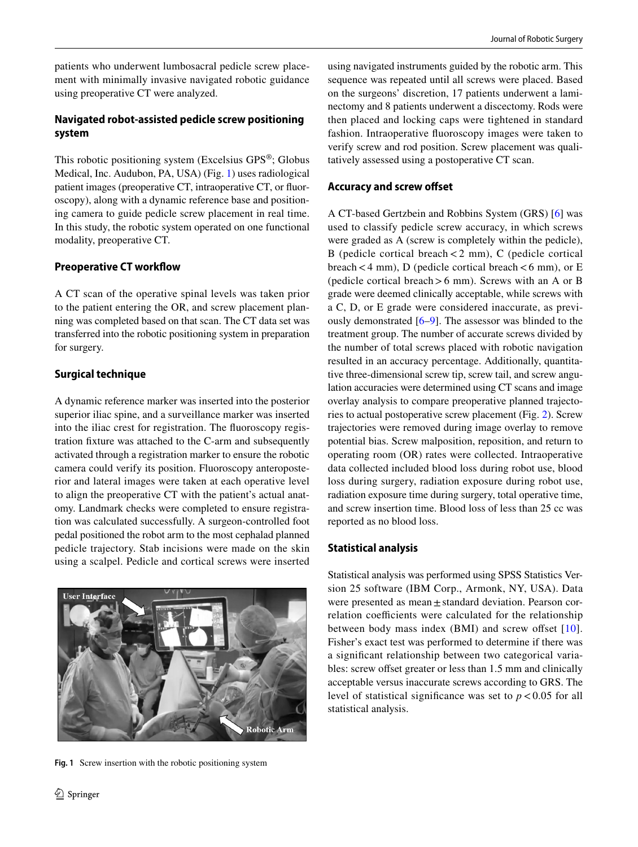patients who underwent lumbosacral pedicle screw placement with minimally invasive navigated robotic guidance using preoperative CT were analyzed.

# **Navigated robot‑assisted pedicle screw positioning system**

This robotic positioning system (Excelsius GPS®; Globus Medical, Inc. Audubon, PA, USA) (Fig. [1](#page-1-0)) uses radiological patient images (preoperative CT, intraoperative CT, or fuoroscopy), along with a dynamic reference base and positioning camera to guide pedicle screw placement in real time. In this study, the robotic system operated on one functional modality, preoperative CT.

# **Preoperative CT workflow**

A CT scan of the operative spinal levels was taken prior to the patient entering the OR, and screw placement planning was completed based on that scan. The CT data set was transferred into the robotic positioning system in preparation for surgery.

# **Surgical technique**

A dynamic reference marker was inserted into the posterior superior iliac spine, and a surveillance marker was inserted into the iliac crest for registration. The fuoroscopy registration fxture was attached to the C-arm and subsequently activated through a registration marker to ensure the robotic camera could verify its position. Fluoroscopy anteroposterior and lateral images were taken at each operative level to align the preoperative CT with the patient's actual anatomy. Landmark checks were completed to ensure registration was calculated successfully. A surgeon-controlled foot pedal positioned the robot arm to the most cephalad planned pedicle trajectory. Stab incisions were made on the skin using a scalpel. Pedicle and cortical screws were inserted

<span id="page-1-0"></span>

**Fig. 1** Screw insertion with the robotic positioning system

using navigated instruments guided by the robotic arm. This sequence was repeated until all screws were placed. Based on the surgeons' discretion, 17 patients underwent a laminectomy and 8 patients underwent a discectomy. Rods were then placed and locking caps were tightened in standard fashion. Intraoperative fuoroscopy images were taken to verify screw and rod position. Screw placement was qualitatively assessed using a postoperative CT scan.

# **Accuracy and screw ofset**

A CT-based Gertzbein and Robbins System (GRS) [[6\]](#page-5-4) was used to classify pedicle screw accuracy, in which screws were graded as A (screw is completely within the pedicle), B (pedicle cortical breach  $<$  2 mm), C (pedicle cortical breach < 4 mm), D (pedicle cortical breach < 6 mm), or E (pedicle cortical breach>6 mm). Screws with an A or B grade were deemed clinically acceptable, while screws with a C, D, or E grade were considered inaccurate, as previously demonstrated [\[6](#page-5-4)[–9](#page-5-5)]. The assessor was blinded to the treatment group. The number of accurate screws divided by the number of total screws placed with robotic navigation resulted in an accuracy percentage. Additionally, quantitative three-dimensional screw tip, screw tail, and screw angulation accuracies were determined using CT scans and image overlay analysis to compare preoperative planned trajectories to actual postoperative screw placement (Fig. [2](#page-2-0)). Screw trajectories were removed during image overlay to remove potential bias. Screw malposition, reposition, and return to operating room (OR) rates were collected. Intraoperative data collected included blood loss during robot use, blood loss during surgery, radiation exposure during robot use, radiation exposure time during surgery, total operative time, and screw insertion time. Blood loss of less than 25 cc was reported as no blood loss.

# **Statistical analysis**

Statistical analysis was performed using SPSS Statistics Version 25 software (IBM Corp., Armonk, NY, USA). Data were presented as mean  $\pm$  standard deviation. Pearson correlation coefficients were calculated for the relationship between body mass index  $(BMI)$  and screw offset  $[10]$  $[10]$  $[10]$ . Fisher's exact test was performed to determine if there was a signifcant relationship between two categorical variables: screw offset greater or less than 1.5 mm and clinically acceptable versus inaccurate screws according to GRS. The level of statistical significance was set to  $p < 0.05$  for all statistical analysis.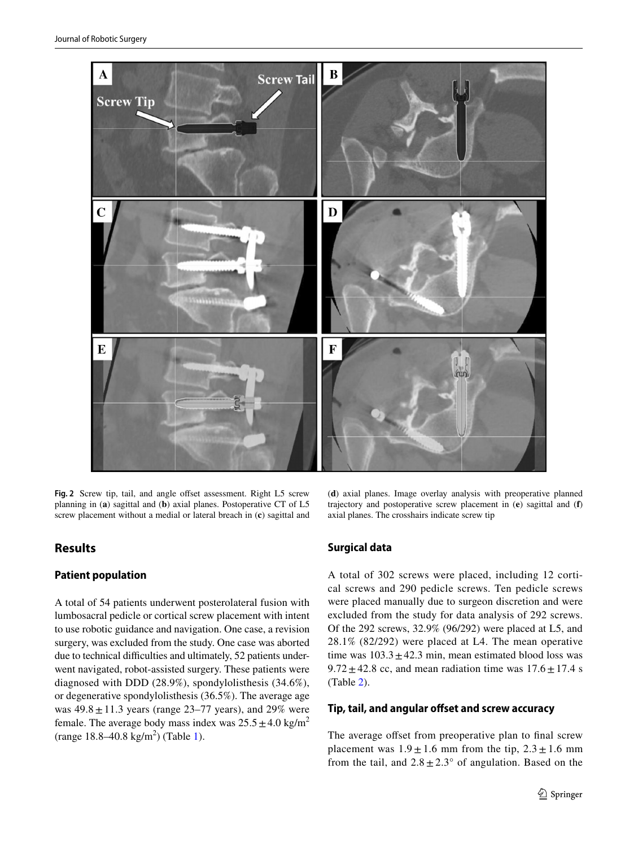

<span id="page-2-0"></span>Fig. 2 Screw tip, tail, and angle offset assessment. Right L5 screw planning in (**a**) sagittal and (**b**) axial planes. Postoperative CT of L5 screw placement without a medial or lateral breach in (**c**) sagittal and

# **Results**

## **Patient population**

A total of 54 patients underwent posterolateral fusion with lumbosacral pedicle or cortical screw placement with intent to use robotic guidance and navigation. One case, a revision surgery, was excluded from the study. One case was aborted due to technical difficulties and ultimately, 52 patients underwent navigated, robot-assisted surgery. These patients were diagnosed with DDD (28.9%), spondylolisthesis (34.6%), or degenerative spondylolisthesis (36.5%). The average age was  $49.8 \pm 11.3$  years (range 23–77 years), and 29% were female. The average body mass index was  $25.5 \pm 4.0$  kg/m<sup>2</sup>  $(range 18.8-40.8 kg/m<sup>2</sup>)$  (Table [1\)](#page-3-0).

(**d**) axial planes. Image overlay analysis with preoperative planned trajectory and postoperative screw placement in (**e**) sagittal and (**f**) axial planes. The crosshairs indicate screw tip

## **Surgical data**

A total of 302 screws were placed, including 12 cortical screws and 290 pedicle screws. Ten pedicle screws were placed manually due to surgeon discretion and were excluded from the study for data analysis of 292 screws. Of the 292 screws, 32.9% (96/292) were placed at L5, and 28.1% (82/292) were placed at L4. The mean operative time was  $103.3 \pm 42.3$  min, mean estimated blood loss was  $9.72 \pm 42.8$  cc, and mean radiation time was  $17.6 \pm 17.4$  s (Table [2\)](#page-3-1).

#### **Tip, tail, and angular ofset and screw accuracy**

The average offset from preoperative plan to final screw placement was  $1.9 \pm 1.6$  mm from the tip,  $2.3 \pm 1.6$  mm from the tail, and  $2.8 \pm 2.3^{\circ}$  of angulation. Based on the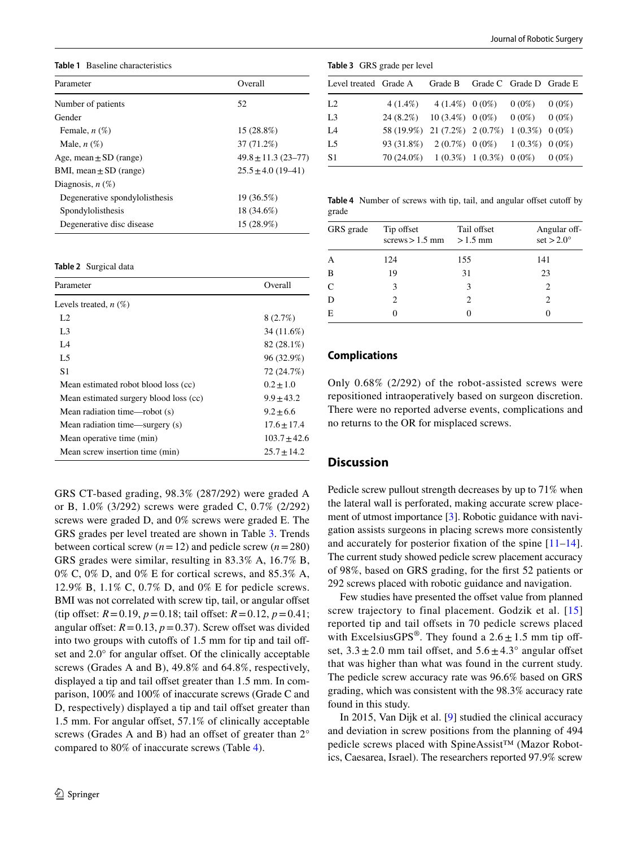<span id="page-3-0"></span>**Table 1** Baseline characteristics

| Parameter                      | Overall                 |  |  |
|--------------------------------|-------------------------|--|--|
| Number of patients             | 52                      |  |  |
| Gender                         |                         |  |  |
| Female, $n(\%)$                | $15(28.8\%)$            |  |  |
| Male, $n(\%)$                  | 37 (71.2%)              |  |  |
| Age, mean $\pm$ SD (range)     | $49.8 \pm 11.3$ (23-77) |  |  |
| BMI, mean $\pm$ SD (range)     | $25.5 \pm 4.0$ (19-41)  |  |  |
| Diagnosis, $n(\%)$             |                         |  |  |
| Degenerative spondylolisthesis | 19 (36.5%)              |  |  |
| Spondylolisthesis              | 18 (34.6%)              |  |  |
| Degenerative disc disease      | 15 (28.9%)              |  |  |

#### <span id="page-3-1"></span>**Table 2** Surgical data

| Parameter                              | Overall        |  |
|----------------------------------------|----------------|--|
| Levels treated, $n$ $(\%)$             |                |  |
| L <sub>2</sub>                         | 8(2.7%)        |  |
| L <sub>3</sub>                         | 34 (11.6%)     |  |
| I A                                    | 82 (28.1%)     |  |
| L5                                     | 96 (32.9%)     |  |
| S <sub>1</sub>                         | 72 (24.7%)     |  |
| Mean estimated robot blood loss (cc)   | $0.2 \pm 1.0$  |  |
| Mean estimated surgery blood loss (cc) | $9.9 + 43.2$   |  |
| Mean radiation time—robot (s)          | $9.2 + 6.6$    |  |
| Mean radiation time—surgery (s)        | $17.6 + 17.4$  |  |
| Mean operative time (min)              | $103.7 + 42.6$ |  |
| Mean screw insertion time (min)        | $25.7 + 14.2$  |  |

GRS CT-based grading, 98.3% (287/292) were graded A or B, 1.0% (3/292) screws were graded C, 0.7% (2/292) screws were graded D, and 0% screws were graded E. The GRS grades per level treated are shown in Table [3](#page-3-2). Trends between cortical screw  $(n=12)$  and pedicle screw  $(n=280)$ GRS grades were similar, resulting in 83.3% A, 16.7% B, 0% C, 0% D, and 0% E for cortical screws, and 85.3% A, 12.9% B, 1.1% C, 0.7% D, and 0% E for pedicle screws. BMI was not correlated with screw tip, tail, or angular offset (tip offset:  $R = 0.19$ ,  $p = 0.18$ ; tail offset:  $R = 0.12$ ,  $p = 0.41$ ; angular offset:  $R = 0.13$ ,  $p = 0.37$ ). Screw offset was divided into two groups with cutoffs of 1.5 mm for tip and tail offset and  $2.0^\circ$  for angular offset. Of the clinically acceptable screws (Grades A and B), 49.8% and 64.8%, respectively, displayed a tip and tail offset greater than 1.5 mm. In comparison, 100% and 100% of inaccurate screws (Grade C and D, respectively) displayed a tip and tail offset greater than 1.5 mm. For angular offset, 57.1% of clinically acceptable screws (Grades A and B) had an offset of greater than  $2^\circ$ compared to 80% of inaccurate screws (Table [4](#page-3-3)).

<span id="page-3-2"></span>

| <b>Table 3</b> GRS grade per level |                                                      |                                         |  |                         |          |  |  |
|------------------------------------|------------------------------------------------------|-----------------------------------------|--|-------------------------|----------|--|--|
| Level treated Grade A Grade B      |                                                      |                                         |  | Grade C Grade D Grade E |          |  |  |
| L <sub>2</sub>                     |                                                      | $4(1.4\%)$ $4(1.4\%)$ $0(0\%)$ $0(0\%)$ |  |                         | $0(0\%)$ |  |  |
| L <sub>3</sub>                     | $24(8.2\%)$ 10 (3.4%) 0 (0%) 0 (0%)                  |                                         |  |                         | $0(0\%)$ |  |  |
| IA                                 | 58 (19.9%) 21 (7.2%) 2 (0.7%) 1 (0.3%) 0 (0%)        |                                         |  |                         |          |  |  |
| L <sub>5</sub>                     | $93(31.8\%)$ $2(0.7\%)$ $0(0\%)$ $1(0.3\%)$ $0(0\%)$ |                                         |  |                         |          |  |  |
| S1                                 | $70(24.0\%)$ $1(0.3\%)$ $1(0.3\%)$ $0(0\%)$ $0(0\%)$ |                                         |  |                         |          |  |  |

<span id="page-3-3"></span>**Table 4** Number of screws with tip, tail, and angular offset cutoff by grade

| GRS grade | Tip offset<br>screws $> 1.5$ mm | Tail offset<br>$>1.5$ mm | Angular off-<br>set $>2.0^\circ$ |
|-----------|---------------------------------|--------------------------|----------------------------------|
| A         | 124                             | 155                      | 141                              |
| B         | 19                              | 31                       | 23                               |
| C         | 3                               | 3                        | 2                                |
| D         | $\mathcal{D}_{\mathcal{L}}$     | $\mathcal{L}$            | 2                                |
| Е         |                                 |                          |                                  |

#### **Complications**

Only 0.68% (2/292) of the robot-assisted screws were repositioned intraoperatively based on surgeon discretion. There were no reported adverse events, complications and no returns to the OR for misplaced screws.

#### **Discussion**

Pedicle screw pullout strength decreases by up to 71% when the lateral wall is perforated, making accurate screw placement of utmost importance [[3](#page-5-1)]. Robotic guidance with navigation assists surgeons in placing screws more consistently and accurately for posterior fxation of the spine [[11–](#page-5-7)[14](#page-5-8)]. The current study showed pedicle screw placement accuracy of 98%, based on GRS grading, for the frst 52 patients or 292 screws placed with robotic guidance and navigation.

Few studies have presented the offset value from planned screw trajectory to final placement. Godzik et al. [\[15\]](#page-5-9) reported tip and tail offsets in 70 pedicle screws placed with ExcelsiusGPS<sup>®</sup>. They found a  $2.6 \pm 1.5$  mm tip offset,  $3.3 \pm 2.0$  mm tail offset, and  $5.6 \pm 4.3^{\circ}$  angular offset that was higher than what was found in the current study. The pedicle screw accuracy rate was 96.6% based on GRS grading, which was consistent with the 98.3% accuracy rate found in this study.

In 2015, Van Dijk et al. [\[9](#page-5-5)] studied the clinical accuracy and deviation in screw positions from the planning of 494 pedicle screws placed with SpineAssist™ (Mazor Robotics, Caesarea, Israel). The researchers reported 97.9% screw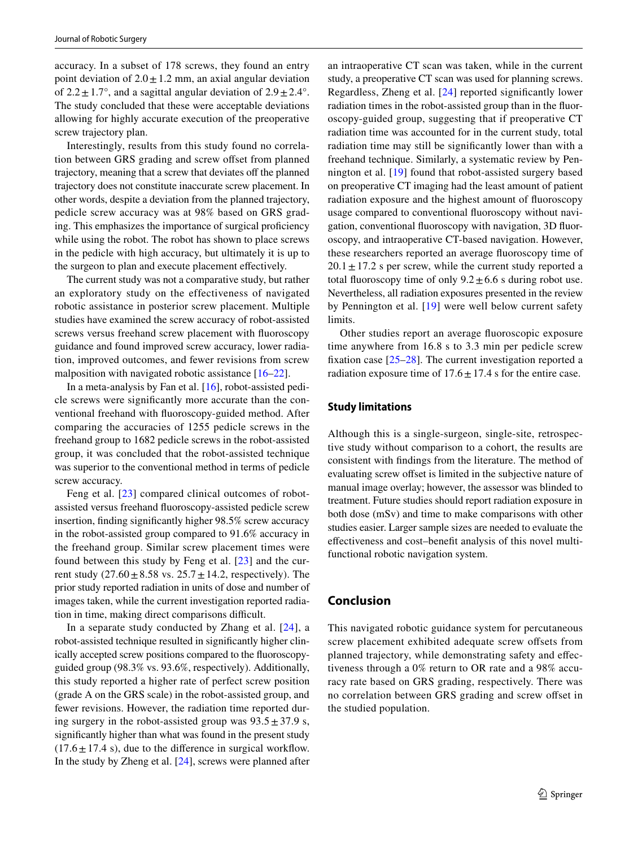accuracy. In a subset of 178 screws, they found an entry point deviation of  $2.0 \pm 1.2$  mm, an axial angular deviation of  $2.2 \pm 1.7^{\circ}$ , and a sagittal angular deviation of  $2.9 \pm 2.4^{\circ}$ . The study concluded that these were acceptable deviations allowing for highly accurate execution of the preoperative screw trajectory plan.

Interestingly, results from this study found no correlation between GRS grading and screw offset from planned trajectory, meaning that a screw that deviates off the planned trajectory does not constitute inaccurate screw placement. In other words, despite a deviation from the planned trajectory, pedicle screw accuracy was at 98% based on GRS grading. This emphasizes the importance of surgical profciency while using the robot. The robot has shown to place screws in the pedicle with high accuracy, but ultimately it is up to the surgeon to plan and execute placement efectively.

The current study was not a comparative study, but rather an exploratory study on the effectiveness of navigated robotic assistance in posterior screw placement. Multiple studies have examined the screw accuracy of robot-assisted screws versus freehand screw placement with fuoroscopy guidance and found improved screw accuracy, lower radiation, improved outcomes, and fewer revisions from screw malposition with navigated robotic assistance [\[16](#page-5-10)[–22\]](#page-5-11).

In a meta-analysis by Fan et al. [[16\]](#page-5-10), robot-assisted pedicle screws were signifcantly more accurate than the conventional freehand with fuoroscopy-guided method. After comparing the accuracies of 1255 pedicle screws in the freehand group to 1682 pedicle screws in the robot-assisted group, it was concluded that the robot-assisted technique was superior to the conventional method in terms of pedicle screw accuracy.

Feng et al. [[23](#page-5-12)] compared clinical outcomes of robotassisted versus freehand fuoroscopy-assisted pedicle screw insertion, fnding signifcantly higher 98.5% screw accuracy in the robot-assisted group compared to 91.6% accuracy in the freehand group. Similar screw placement times were found between this study by Feng et al. [\[23\]](#page-5-12) and the current study  $(27.60 \pm 8.58 \text{ vs. } 25.7 \pm 14.2, \text{ respectively})$ . The prior study reported radiation in units of dose and number of images taken, while the current investigation reported radiation in time, making direct comparisons difficult.

In a separate study conducted by Zhang et al. [[24](#page-6-0)], a robot-assisted technique resulted in signifcantly higher clinically accepted screw positions compared to the fuoroscopyguided group (98.3% vs. 93.6%, respectively). Additionally, this study reported a higher rate of perfect screw position (grade A on the GRS scale) in the robot-assisted group, and fewer revisions. However, the radiation time reported during surgery in the robot-assisted group was  $93.5 \pm 37.9$  s, signifcantly higher than what was found in the present study  $(17.6 \pm 17.4 \text{ s})$ , due to the difference in surgical workflow. In the study by Zheng et al. [[24\]](#page-6-0), screws were planned after an intraoperative CT scan was taken, while in the current study, a preoperative CT scan was used for planning screws. Regardless, Zheng et al. [[24](#page-6-0)] reported signifcantly lower radiation times in the robot-assisted group than in the fuoroscopy-guided group, suggesting that if preoperative CT radiation time was accounted for in the current study, total radiation time may still be signifcantly lower than with a freehand technique. Similarly, a systematic review by Pennington et al. [[19\]](#page-5-13) found that robot-assisted surgery based on preoperative CT imaging had the least amount of patient radiation exposure and the highest amount of fuoroscopy usage compared to conventional fuoroscopy without navigation, conventional fuoroscopy with navigation, 3D fuoroscopy, and intraoperative CT-based navigation. However, these researchers reported an average fuoroscopy time of  $20.1 \pm 17.2$  s per screw, while the current study reported a total fluoroscopy time of only  $9.2 \pm 6.6$  s during robot use. Nevertheless, all radiation exposures presented in the review by Pennington et al. [\[19\]](#page-5-13) were well below current safety limits.

Other studies report an average fuoroscopic exposure time anywhere from 16.8 s to 3.3 min per pedicle screw fxation case [[25–](#page-6-1)[28\]](#page-6-2). The current investigation reported a radiation exposure time of  $17.6 \pm 17.4$  s for the entire case.

#### **Study limitations**

Although this is a single-surgeon, single-site, retrospective study without comparison to a cohort, the results are consistent with fndings from the literature. The method of evaluating screw ofset is limited in the subjective nature of manual image overlay; however, the assessor was blinded to treatment. Future studies should report radiation exposure in both dose (mSv) and time to make comparisons with other studies easier. Larger sample sizes are needed to evaluate the efectiveness and cost–beneft analysis of this novel multifunctional robotic navigation system.

#### **Conclusion**

This navigated robotic guidance system for percutaneous screw placement exhibited adequate screw offsets from planned trajectory, while demonstrating safety and efectiveness through a 0% return to OR rate and a 98% accuracy rate based on GRS grading, respectively. There was no correlation between GRS grading and screw ofset in the studied population.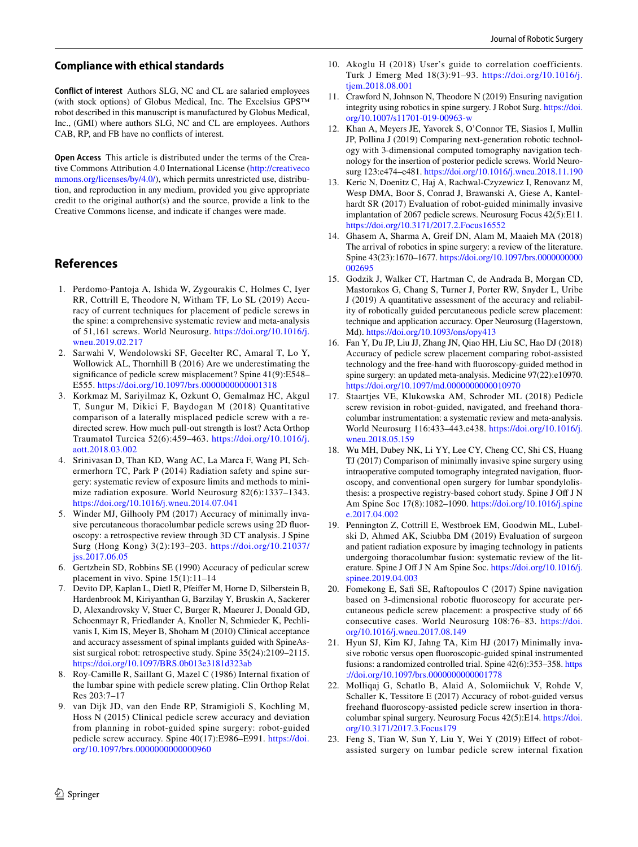#### **Compliance with ethical standards**

**Conflict of interest** Authors SLG, NC and CL are salaried employees (with stock options) of Globus Medical, Inc. The Excelsius GPS™ robot described in this manuscript is manufactured by Globus Medical, Inc., (GMI) where authors SLG, NC and CL are employees. Authors CAB, RP, and FB have no conficts of interest.

**Open Access** This article is distributed under the terms of the Creative Commons Attribution 4.0 International License [\(http://creativeco](http://creativecommons.org/licenses/by/4.0/) [mmons.org/licenses/by/4.0/](http://creativecommons.org/licenses/by/4.0/)), which permits unrestricted use, distribution, and reproduction in any medium, provided you give appropriate credit to the original author(s) and the source, provide a link to the Creative Commons license, and indicate if changes were made.

# **References**

- <span id="page-5-0"></span>1. Perdomo-Pantoja A, Ishida W, Zygourakis C, Holmes C, Iyer RR, Cottrill E, Theodore N, Witham TF, Lo SL (2019) Accuracy of current techniques for placement of pedicle screws in the spine: a comprehensive systematic review and meta-analysis of 51,161 screws. World Neurosurg. [https://doi.org/10.1016/j.](https://doi.org/10.1016/j.wneu.2019.02.217) [wneu.2019.02.217](https://doi.org/10.1016/j.wneu.2019.02.217)
- 2. Sarwahi V, Wendolowski SF, Gecelter RC, Amaral T, Lo Y, Wollowick AL, Thornhill B (2016) Are we underestimating the signifcance of pedicle screw misplacement? Spine 41(9):E548– E555.<https://doi.org/10.1097/brs.0000000000001318>
- <span id="page-5-1"></span>3. Korkmaz M, Sariyilmaz K, Ozkunt O, Gemalmaz HC, Akgul T, Sungur M, Dikici F, Baydogan M (2018) Quantitative comparison of a laterally misplaced pedicle screw with a redirected screw. How much pull-out strength is lost? Acta Orthop Traumatol Turcica 52(6):459–463. [https://doi.org/10.1016/j.](https://doi.org/10.1016/j.aott.2018.03.002) [aott.2018.03.002](https://doi.org/10.1016/j.aott.2018.03.002)
- <span id="page-5-2"></span>4. Srinivasan D, Than KD, Wang AC, La Marca F, Wang PI, Schermerhorn TC, Park P (2014) Radiation safety and spine surgery: systematic review of exposure limits and methods to minimize radiation exposure. World Neurosurg 82(6):1337–1343. <https://doi.org/10.1016/j.wneu.2014.07.041>
- <span id="page-5-3"></span>5. Winder MJ, Gilhooly PM (2017) Accuracy of minimally invasive percutaneous thoracolumbar pedicle screws using 2D fuoroscopy: a retrospective review through 3D CT analysis. J Spine Surg (Hong Kong) 3(2):193–203. [https://doi.org/10.21037/](https://doi.org/10.21037/jss.2017.06.05) [jss.2017.06.05](https://doi.org/10.21037/jss.2017.06.05)
- <span id="page-5-4"></span>6. Gertzbein SD, Robbins SE (1990) Accuracy of pedicular screw placement in vivo. Spine 15(1):11–14
- 7. Devito DP, Kaplan L, Dietl R, Pfeifer M, Horne D, Silberstein B, Hardenbrook M, Kiriyanthan G, Barzilay Y, Bruskin A, Sackerer D, Alexandrovsky V, Stuer C, Burger R, Maeurer J, Donald GD, Schoenmayr R, Friedlander A, Knoller N, Schmieder K, Pechlivanis I, Kim IS, Meyer B, Shoham M (2010) Clinical acceptance and accuracy assessment of spinal implants guided with SpineAssist surgical robot: retrospective study. Spine 35(24):2109–2115. <https://doi.org/10.1097/BRS.0b013e3181d323ab>
- 8. Roy-Camille R, Saillant G, Mazel C (1986) Internal fxation of the lumbar spine with pedicle screw plating. Clin Orthop Relat Res 203:7–17
- <span id="page-5-5"></span>9. van Dijk JD, van den Ende RP, Stramigioli S, Kochling M, Hoss N (2015) Clinical pedicle screw accuracy and deviation from planning in robot-guided spine surgery: robot-guided pedicle screw accuracy. Spine 40(17):E986–E991. [https://doi.](https://doi.org/10.1097/brs.0000000000000960) [org/10.1097/brs.0000000000000960](https://doi.org/10.1097/brs.0000000000000960)
- <span id="page-5-6"></span>10. Akoglu H (2018) User's guide to correlation coefficients. Turk J Emerg Med 18(3):91–93. [https://doi.org/10.1016/j.](https://doi.org/10.1016/j.tjem.2018.08.001) [tjem.2018.08.001](https://doi.org/10.1016/j.tjem.2018.08.001)
- <span id="page-5-7"></span>11. Crawford N, Johnson N, Theodore N (2019) Ensuring navigation integrity using robotics in spine surgery. J Robot Surg. [https://doi.](https://doi.org/10.1007/s11701-019-00963-w) [org/10.1007/s11701-019-00963-w](https://doi.org/10.1007/s11701-019-00963-w)
- 12. Khan A, Meyers JE, Yavorek S, O'Connor TE, Siasios I, Mullin JP, Pollina J (2019) Comparing next-generation robotic technology with 3-dimensional computed tomography navigation technology for the insertion of posterior pedicle screws. World Neurosurg 123:e474–e481.<https://doi.org/10.1016/j.wneu.2018.11.190>
- 13. Keric N, Doenitz C, Haj A, Rachwal-Czyzewicz I, Renovanz M, Wesp DMA, Boor S, Conrad J, Brawanski A, Giese A, Kantelhardt SR (2017) Evaluation of robot-guided minimally invasive implantation of 2067 pedicle screws. Neurosurg Focus 42(5):E11. <https://doi.org/10.3171/2017.2.Focus16552>
- <span id="page-5-8"></span>14. Ghasem A, Sharma A, Greif DN, Alam M, Maaieh MA (2018) The arrival of robotics in spine surgery: a review of the literature. Spine 43(23):1670–1677. [https://doi.org/10.1097/brs.0000000000](https://doi.org/10.1097/brs.0000000000002695) [002695](https://doi.org/10.1097/brs.0000000000002695)
- <span id="page-5-9"></span>15. Godzik J, Walker CT, Hartman C, de Andrada B, Morgan CD, Mastorakos G, Chang S, Turner J, Porter RW, Snyder L, Uribe J (2019) A quantitative assessment of the accuracy and reliability of robotically guided percutaneous pedicle screw placement: technique and application accuracy. Oper Neurosurg (Hagerstown, Md).<https://doi.org/10.1093/ons/opy413>
- <span id="page-5-10"></span>16. Fan Y, Du JP, Liu JJ, Zhang JN, Qiao HH, Liu SC, Hao DJ (2018) Accuracy of pedicle screw placement comparing robot-assisted technology and the free-hand with fuoroscopy-guided method in spine surgery: an updated meta-analysis. Medicine 97(22):e10970. <https://doi.org/10.1097/md.0000000000010970>
- 17. Staartjes VE, Klukowska AM, Schroder ML (2018) Pedicle screw revision in robot-guided, navigated, and freehand thoracolumbar instrumentation: a systematic review and meta-analysis. World Neurosurg 116:433–443.e438. [https://doi.org/10.1016/j.](https://doi.org/10.1016/j.wneu.2018.05.159) [wneu.2018.05.159](https://doi.org/10.1016/j.wneu.2018.05.159)
- 18. Wu MH, Dubey NK, Li YY, Lee CY, Cheng CC, Shi CS, Huang TJ (2017) Comparison of minimally invasive spine surgery using intraoperative computed tomography integrated navigation, fuoroscopy, and conventional open surgery for lumbar spondylolisthesis: a prospective registry-based cohort study. Spine J Of J N Am Spine Soc 17(8):1082–1090. [https://doi.org/10.1016/j.spine](https://doi.org/10.1016/j.spinee.2017.04.002) [e.2017.04.002](https://doi.org/10.1016/j.spinee.2017.04.002)
- <span id="page-5-13"></span>19. Pennington Z, Cottrill E, Westbroek EM, Goodwin ML, Lubelski D, Ahmed AK, Sciubba DM (2019) Evaluation of surgeon and patient radiation exposure by imaging technology in patients undergoing thoracolumbar fusion: systematic review of the literature. Spine J Off J N Am Spine Soc. [https://doi.org/10.1016/j.](https://doi.org/10.1016/j.spinee.2019.04.003) [spinee.2019.04.003](https://doi.org/10.1016/j.spinee.2019.04.003)
- 20. Fomekong E, Saf SE, Raftopoulos C (2017) Spine navigation based on 3-dimensional robotic fuoroscopy for accurate percutaneous pedicle screw placement: a prospective study of 66 consecutive cases. World Neurosurg 108:76–83. [https://doi.](https://doi.org/10.1016/j.wneu.2017.08.149) [org/10.1016/j.wneu.2017.08.149](https://doi.org/10.1016/j.wneu.2017.08.149)
- 21. Hyun SJ, Kim KJ, Jahng TA, Kim HJ (2017) Minimally invasive robotic versus open fuoroscopic-guided spinal instrumented fusions: a randomized controlled trial. Spine 42(6):353–358. [https](https://doi.org/10.1097/brs.0000000000001778) [://doi.org/10.1097/brs.0000000000001778](https://doi.org/10.1097/brs.0000000000001778)
- <span id="page-5-11"></span>22. Molliqaj G, Schatlo B, Alaid A, Solomiichuk V, Rohde V, Schaller K, Tessitore E (2017) Accuracy of robot-guided versus freehand fuoroscopy-assisted pedicle screw insertion in thoracolumbar spinal surgery. Neurosurg Focus 42(5):E14. [https://doi.](https://doi.org/10.3171/2017.3.Focus179) [org/10.3171/2017.3.Focus179](https://doi.org/10.3171/2017.3.Focus179)
- <span id="page-5-12"></span>23. Feng S, Tian W, Sun Y, Liu Y, Wei Y (2019) Efect of robotassisted surgery on lumbar pedicle screw internal fixation